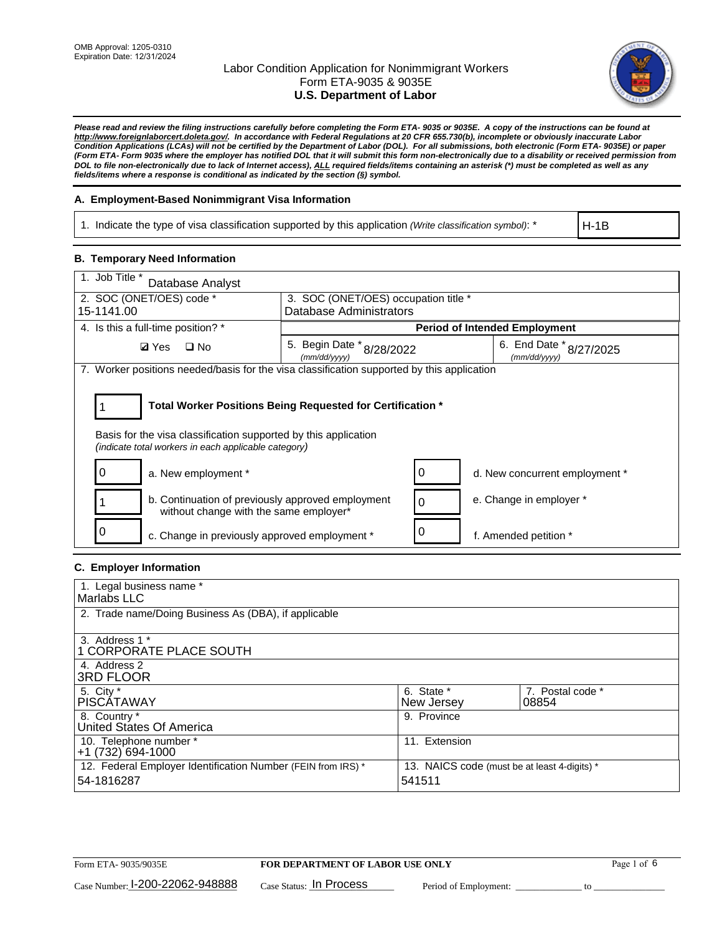

*Please read and review the filing instructions carefully before completing the Form ETA- 9035 or 9035E. A copy of the instructions can be found at http://www.foreignlaborcert.doleta.gov/. In accordance with Federal Regulations at 20 CFR 655.730(b), incomplete or obviously inaccurate Labor Condition Applications (LCAs) will not be certified by the Department of Labor (DOL). For all submissions, both electronic (Form ETA- 9035E) or paper (Form ETA- Form 9035 where the employer has notified DOL that it will submit this form non-electronically due to a disability or received permission from DOL to file non-electronically due to lack of Internet access), ALL required fields/items containing an asterisk (\*) must be completed as well as any fields/items where a response is conditional as indicated by the section (§) symbol.* 

## **A. Employment-Based Nonimmigrant Visa Information**

1. Indicate the type of visa classification supported by this application *(Write classification symbol)*: \*

H-1B

### **B. Temporary Need Information**

| 1. Job Title *<br>Database Analyst                                                                                                                                                    |                                           |   |                                         |  |
|---------------------------------------------------------------------------------------------------------------------------------------------------------------------------------------|-------------------------------------------|---|-----------------------------------------|--|
| 2. SOC (ONET/OES) code *                                                                                                                                                              | 3. SOC (ONET/OES) occupation title *      |   |                                         |  |
| 15-1141.00                                                                                                                                                                            | <b>Database Administrators</b>            |   |                                         |  |
| 4. Is this a full-time position? *                                                                                                                                                    |                                           |   | <b>Period of Intended Employment</b>    |  |
| $\Box$ No<br><b>Ø</b> Yes                                                                                                                                                             | 5. Begin Date * 8/28/2022<br>(mm/dd/yyyy) |   | 6. End Date * 8/27/2025<br>(mm/dd/vvvv) |  |
| 7. Worker positions needed/basis for the visa classification supported by this application                                                                                            |                                           |   |                                         |  |
| Total Worker Positions Being Requested for Certification *<br>Basis for the visa classification supported by this application<br>(indicate total workers in each applicable category) |                                           |   |                                         |  |
| a. New employment *                                                                                                                                                                   |                                           | 0 | d. New concurrent employment *          |  |
| b. Continuation of previously approved employment<br>without change with the same employer*                                                                                           |                                           | 0 | e. Change in employer *                 |  |
| c. Change in previously approved employment *                                                                                                                                         |                                           |   | f. Amended petition *                   |  |

## **C. Employer Information**

| 1. Legal business name *                                     |                                              |                  |
|--------------------------------------------------------------|----------------------------------------------|------------------|
| Marlabs LLC                                                  |                                              |                  |
| 2. Trade name/Doing Business As (DBA), if applicable         |                                              |                  |
|                                                              |                                              |                  |
| 3. Address 1 *                                               |                                              |                  |
| 1 CORPORATE PLACE SOUTH                                      |                                              |                  |
| 4. Address 2                                                 |                                              |                  |
| <b>3RD FLOOR</b>                                             |                                              |                  |
| 5. City *                                                    | 6. State *                                   | 7. Postal code * |
| PISCÁTAWAY                                                   | New Jersey                                   | 08854            |
| 8. Country *                                                 | 9. Province                                  |                  |
| United States Of America                                     |                                              |                  |
| 10. Telephone number *                                       | 11. Extension                                |                  |
| $+1(732)694-1000$                                            |                                              |                  |
| 12. Federal Employer Identification Number (FEIN from IRS) * | 13. NAICS code (must be at least 4-digits) * |                  |
| 54-1816287                                                   | 541511                                       |                  |
|                                                              |                                              |                  |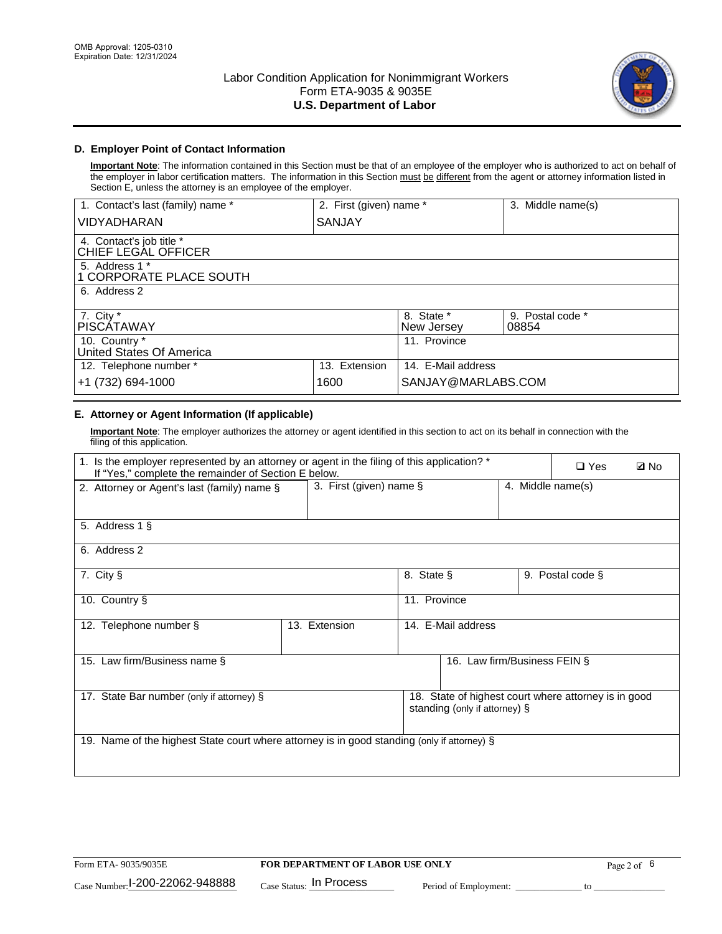

## **D. Employer Point of Contact Information**

**Important Note**: The information contained in this Section must be that of an employee of the employer who is authorized to act on behalf of the employer in labor certification matters. The information in this Section must be different from the agent or attorney information listed in Section E, unless the attorney is an employee of the employer.

| 1. Contact's last (family) name *               | 2. First (given) name * |                          | 3. Middle name(s)         |
|-------------------------------------------------|-------------------------|--------------------------|---------------------------|
| <b>VIDYADHARAN</b>                              | SANJAY                  |                          |                           |
| 4. Contact's job title *<br>CHIEF LEGAL OFFICER |                         |                          |                           |
| 5. Address 1 *<br>1 CORPORATE PLACE SOUTH       |                         |                          |                           |
| 6. Address 2                                    |                         |                          |                           |
| 7. City $*$<br><b>PISCATAWAY</b>                |                         | 8. State *<br>New Jersey | 9. Postal code *<br>08854 |
| 10. Country *<br>United States Of America       |                         | 11. Province             |                           |
| 12. Telephone number *                          | 13. Extension           | 14. E-Mail address       |                           |
| +1 (732) 694-1000                               | 1600                    | SANJAY@MARLABS.COM       |                           |

## **E. Attorney or Agent Information (If applicable)**

**Important Note**: The employer authorizes the attorney or agent identified in this section to act on its behalf in connection with the filing of this application.

| 1. Is the employer represented by an attorney or agent in the filing of this application? *<br>If "Yes," complete the remainder of Section E below. |                            |              |                               |                   | $\Box$ Yes                                           | <b>Ø</b> No |
|-----------------------------------------------------------------------------------------------------------------------------------------------------|----------------------------|--------------|-------------------------------|-------------------|------------------------------------------------------|-------------|
| 2. Attorney or Agent's last (family) name §                                                                                                         | 3. First (given) name $\S$ |              |                               | 4. Middle name(s) |                                                      |             |
| 5. Address 1 §                                                                                                                                      |                            |              |                               |                   |                                                      |             |
| 6. Address 2                                                                                                                                        |                            |              |                               |                   |                                                      |             |
| 7. City §                                                                                                                                           |                            | 8. State §   |                               |                   | 9. Postal code §                                     |             |
| 10. Country §                                                                                                                                       |                            | 11. Province |                               |                   |                                                      |             |
| 12. Telephone number §                                                                                                                              | 13. Extension              |              | 14. E-Mail address            |                   |                                                      |             |
| 15. Law firm/Business name §                                                                                                                        |                            |              | 16. Law firm/Business FEIN §  |                   |                                                      |             |
| 17. State Bar number (only if attorney) §                                                                                                           |                            |              | standing (only if attorney) § |                   | 18. State of highest court where attorney is in good |             |
| 19. Name of the highest State court where attorney is in good standing (only if attorney) §                                                         |                            |              |                               |                   |                                                      |             |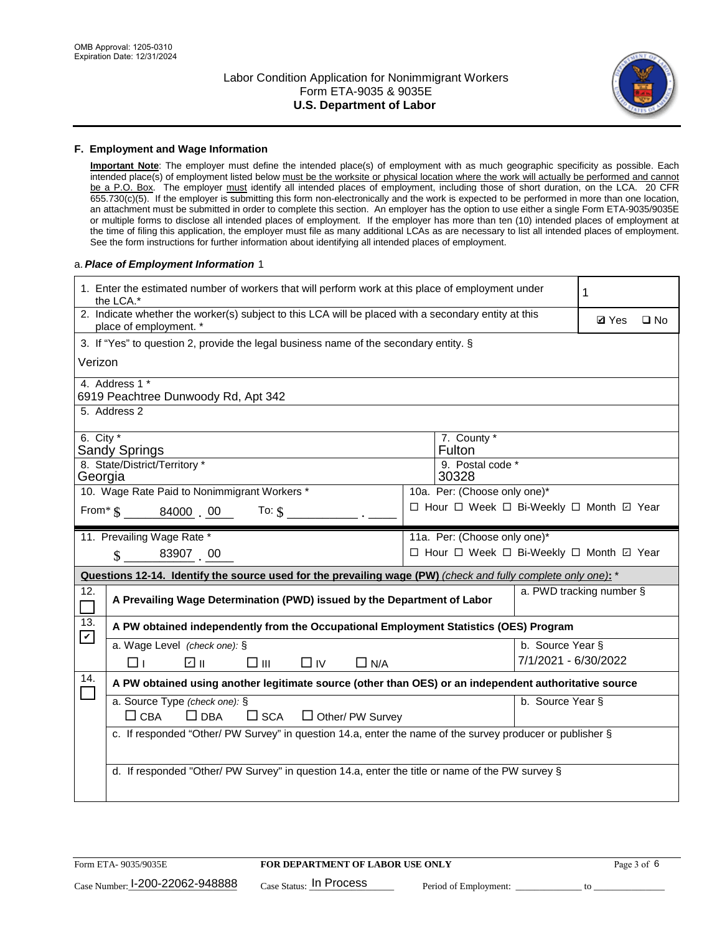

#### **F. Employment and Wage Information**

**Important Note**: The employer must define the intended place(s) of employment with as much geographic specificity as possible. Each intended place(s) of employment listed below must be the worksite or physical location where the work will actually be performed and cannot be a P.O. Box. The employer must identify all intended places of employment, including those of short duration, on the LCA. 20 CFR 655.730(c)(5). If the employer is submitting this form non-electronically and the work is expected to be performed in more than one location, an attachment must be submitted in order to complete this section. An employer has the option to use either a single Form ETA-9035/9035E or multiple forms to disclose all intended places of employment. If the employer has more than ten (10) intended places of employment at the time of filing this application, the employer must file as many additional LCAs as are necessary to list all intended places of employment. See the form instructions for further information about identifying all intended places of employment.

### a.*Place of Employment Information* 1

|                                                                                                               | 1. Enter the estimated number of workers that will perform work at this place of employment under<br>1<br>the LCA.*            |  |                                          |                      |              |              |  |
|---------------------------------------------------------------------------------------------------------------|--------------------------------------------------------------------------------------------------------------------------------|--|------------------------------------------|----------------------|--------------|--------------|--|
|                                                                                                               | 2. Indicate whether the worker(s) subject to this LCA will be placed with a secondary entity at this<br>place of employment. * |  |                                          |                      | <b>Ø</b> Yes | $\square$ No |  |
|                                                                                                               | 3. If "Yes" to question 2, provide the legal business name of the secondary entity. §                                          |  |                                          |                      |              |              |  |
| Verizon                                                                                                       |                                                                                                                                |  |                                          |                      |              |              |  |
|                                                                                                               | 4. Address 1 *<br>6919 Peachtree Dunwoody Rd, Apt 342                                                                          |  |                                          |                      |              |              |  |
|                                                                                                               | 5. Address 2                                                                                                                   |  |                                          |                      |              |              |  |
|                                                                                                               | 6. City $*$<br>7. County *<br>Fulton<br><b>Sandy Springs</b><br>8. State/District/Territory *<br>9. Postal code *              |  |                                          |                      |              |              |  |
| 30328<br>Georgia                                                                                              |                                                                                                                                |  |                                          |                      |              |              |  |
|                                                                                                               | 10. Wage Rate Paid to Nonimmigrant Workers *                                                                                   |  | 10a. Per: (Choose only one)*             |                      |              |              |  |
|                                                                                                               | From $\frac{1}{3}$ 84000 00<br>To: $$$                                                                                         |  | □ Hour □ Week □ Bi-Weekly □ Month ☑ Year |                      |              |              |  |
|                                                                                                               | 11. Prevailing Wage Rate *<br>11a. Per: (Choose only one)*                                                                     |  |                                          |                      |              |              |  |
| □ Hour □ Week □ Bi-Weekly □ Month ☑ Year<br>$\sin 83907$ 00                                                   |                                                                                                                                |  |                                          |                      |              |              |  |
| Questions 12-14. Identify the source used for the prevailing wage (PW) (check and fully complete only one): * |                                                                                                                                |  |                                          |                      |              |              |  |
| 12.                                                                                                           | a. PWD tracking number §<br>A Prevailing Wage Determination (PWD) issued by the Department of Labor                            |  |                                          |                      |              |              |  |
| 13.                                                                                                           | A PW obtained independently from the Occupational Employment Statistics (OES) Program                                          |  |                                          |                      |              |              |  |
| $\blacktriangledown$                                                                                          | a. Wage Level (check one): §                                                                                                   |  |                                          | b. Source Year §     |              |              |  |
|                                                                                                               | ☑ ⊪<br>□⊪<br>$\Box$ IV<br>⊓⊥<br>$\Box$ N/A                                                                                     |  |                                          | 7/1/2021 - 6/30/2022 |              |              |  |
| 14.                                                                                                           | A PW obtained using another legitimate source (other than OES) or an independent authoritative source                          |  |                                          |                      |              |              |  |
|                                                                                                               | a. Source Type (check one): §<br>$\Box$ CBA<br>$\Box$ DBA<br>$\square$ SCA<br>$\Box$ Other/ PW Survey                          |  |                                          | b. Source Year §     |              |              |  |
|                                                                                                               | c. If responded "Other/ PW Survey" in question 14.a, enter the name of the survey producer or publisher §                      |  |                                          |                      |              |              |  |
|                                                                                                               | d. If responded "Other/ PW Survey" in question 14.a, enter the title or name of the PW survey §                                |  |                                          |                      |              |              |  |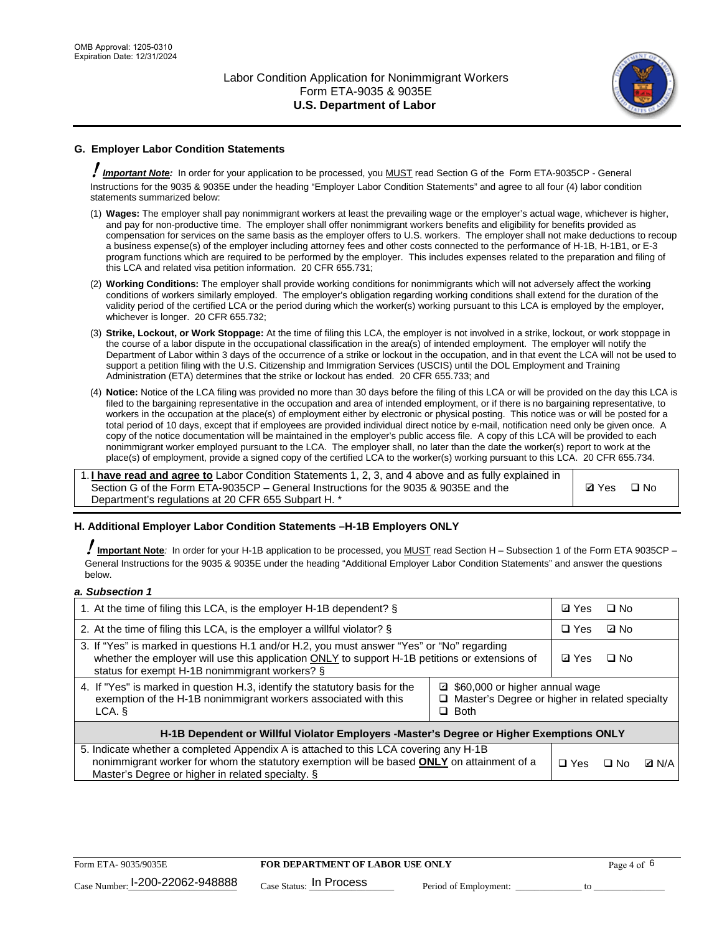

# **G. Employer Labor Condition Statements**

! *Important Note:* In order for your application to be processed, you MUST read Section G of the Form ETA-9035CP - General Instructions for the 9035 & 9035E under the heading "Employer Labor Condition Statements" and agree to all four (4) labor condition statements summarized below:

- (1) **Wages:** The employer shall pay nonimmigrant workers at least the prevailing wage or the employer's actual wage, whichever is higher, and pay for non-productive time. The employer shall offer nonimmigrant workers benefits and eligibility for benefits provided as compensation for services on the same basis as the employer offers to U.S. workers. The employer shall not make deductions to recoup a business expense(s) of the employer including attorney fees and other costs connected to the performance of H-1B, H-1B1, or E-3 program functions which are required to be performed by the employer. This includes expenses related to the preparation and filing of this LCA and related visa petition information. 20 CFR 655.731;
- (2) **Working Conditions:** The employer shall provide working conditions for nonimmigrants which will not adversely affect the working conditions of workers similarly employed. The employer's obligation regarding working conditions shall extend for the duration of the validity period of the certified LCA or the period during which the worker(s) working pursuant to this LCA is employed by the employer, whichever is longer. 20 CFR 655.732;
- (3) **Strike, Lockout, or Work Stoppage:** At the time of filing this LCA, the employer is not involved in a strike, lockout, or work stoppage in the course of a labor dispute in the occupational classification in the area(s) of intended employment. The employer will notify the Department of Labor within 3 days of the occurrence of a strike or lockout in the occupation, and in that event the LCA will not be used to support a petition filing with the U.S. Citizenship and Immigration Services (USCIS) until the DOL Employment and Training Administration (ETA) determines that the strike or lockout has ended. 20 CFR 655.733; and
- (4) **Notice:** Notice of the LCA filing was provided no more than 30 days before the filing of this LCA or will be provided on the day this LCA is filed to the bargaining representative in the occupation and area of intended employment, or if there is no bargaining representative, to workers in the occupation at the place(s) of employment either by electronic or physical posting. This notice was or will be posted for a total period of 10 days, except that if employees are provided individual direct notice by e-mail, notification need only be given once. A copy of the notice documentation will be maintained in the employer's public access file. A copy of this LCA will be provided to each nonimmigrant worker employed pursuant to the LCA. The employer shall, no later than the date the worker(s) report to work at the place(s) of employment, provide a signed copy of the certified LCA to the worker(s) working pursuant to this LCA. 20 CFR 655.734.

1. **I have read and agree to** Labor Condition Statements 1, 2, 3, and 4 above and as fully explained in Section G of the Form ETA-9035CP – General Instructions for the 9035 & 9035E and the Department's regulations at 20 CFR 655 Subpart H. \*

**Ø**Yes ロNo

### **H. Additional Employer Labor Condition Statements –H-1B Employers ONLY**

!**Important Note***:* In order for your H-1B application to be processed, you MUST read Section H – Subsection 1 of the Form ETA 9035CP – General Instructions for the 9035 & 9035E under the heading "Additional Employer Labor Condition Statements" and answer the questions below.

#### *a. Subsection 1*

| 1. At the time of filing this LCA, is the employer H-1B dependent? §                                                                                                                                                                                               | ⊡ Yes        | $\Box$ No |              |  |
|--------------------------------------------------------------------------------------------------------------------------------------------------------------------------------------------------------------------------------------------------------------------|--------------|-----------|--------------|--|
| 2. At the time of filing this LCA, is the employer a willful violator? $\S$                                                                                                                                                                                        | $\Box$ Yes   | ⊡ No      |              |  |
| 3. If "Yes" is marked in questions H.1 and/or H.2, you must answer "Yes" or "No" regarding<br>whether the employer will use this application ONLY to support H-1B petitions or extensions of<br>status for exempt H-1B nonimmigrant workers? §                     | <b>☑</b> Yes | $\Box$ No |              |  |
| 4. If "Yes" is marked in question H.3, identify the statutory basis for the<br>□ \$60,000 or higher annual wage<br>exemption of the H-1B nonimmigrant workers associated with this<br>$\Box$ Master's Degree or higher in related specialty<br>$\Box$ Both<br>LCA. |              |           |              |  |
| H-1B Dependent or Willful Violator Employers -Master's Degree or Higher Exemptions ONLY                                                                                                                                                                            |              |           |              |  |
| 5. Indicate whether a completed Appendix A is attached to this LCA covering any H-1B<br>nonimmigrant worker for whom the statutory exemption will be based <b>ONLY</b> on attainment of a<br>Master's Degree or higher in related specialty. §                     | $\Box$ Yes   | ⊡ No      | <b>D</b> N/A |  |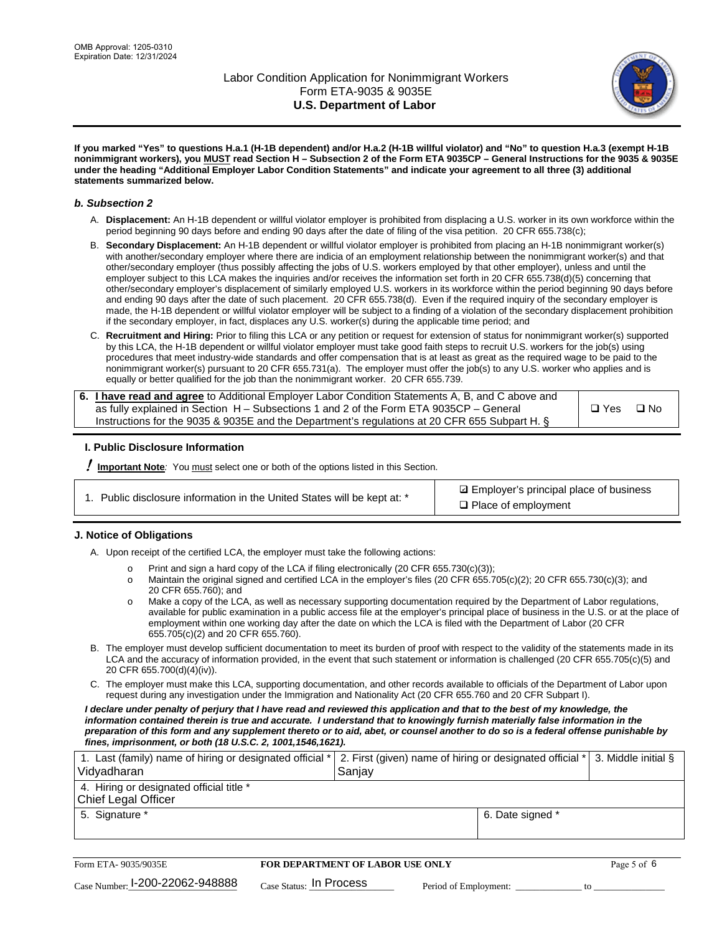

**If you marked "Yes" to questions H.a.1 (H-1B dependent) and/or H.a.2 (H-1B willful violator) and "No" to question H.a.3 (exempt H-1B nonimmigrant workers), you MUST read Section H – Subsection 2 of the Form ETA 9035CP – General Instructions for the 9035 & 9035E under the heading "Additional Employer Labor Condition Statements" and indicate your agreement to all three (3) additional statements summarized below.**

#### *b. Subsection 2*

- A. **Displacement:** An H-1B dependent or willful violator employer is prohibited from displacing a U.S. worker in its own workforce within the period beginning 90 days before and ending 90 days after the date of filing of the visa petition. 20 CFR 655.738(c);
- B. **Secondary Displacement:** An H-1B dependent or willful violator employer is prohibited from placing an H-1B nonimmigrant worker(s) with another/secondary employer where there are indicia of an employment relationship between the nonimmigrant worker(s) and that other/secondary employer (thus possibly affecting the jobs of U.S. workers employed by that other employer), unless and until the employer subject to this LCA makes the inquiries and/or receives the information set forth in 20 CFR 655.738(d)(5) concerning that other/secondary employer's displacement of similarly employed U.S. workers in its workforce within the period beginning 90 days before and ending 90 days after the date of such placement. 20 CFR 655.738(d). Even if the required inquiry of the secondary employer is made, the H-1B dependent or willful violator employer will be subject to a finding of a violation of the secondary displacement prohibition if the secondary employer, in fact, displaces any U.S. worker(s) during the applicable time period; and
- C. **Recruitment and Hiring:** Prior to filing this LCA or any petition or request for extension of status for nonimmigrant worker(s) supported by this LCA, the H-1B dependent or willful violator employer must take good faith steps to recruit U.S. workers for the job(s) using procedures that meet industry-wide standards and offer compensation that is at least as great as the required wage to be paid to the nonimmigrant worker(s) pursuant to 20 CFR 655.731(a). The employer must offer the job(s) to any U.S. worker who applies and is equally or better qualified for the job than the nonimmigrant worker. 20 CFR 655.739.

| 6. I have read and agree to Additional Employer Labor Condition Statements A, B, and C above and |       |           |
|--------------------------------------------------------------------------------------------------|-------|-----------|
| as fully explained in Section H – Subsections 1 and 2 of the Form ETA 9035CP – General           | □ Yes | $\Box$ No |
| Instructions for the 9035 & 9035E and the Department's regulations at 20 CFR 655 Subpart H. §    |       |           |

### **I. Public Disclosure Information**

! **Important Note***:* You must select one or both of the options listed in this Section.

| 1. Public disclosure information in the United States will be kept at: * |  |  |  |  |  |  |  |  |  |
|--------------------------------------------------------------------------|--|--|--|--|--|--|--|--|--|
|--------------------------------------------------------------------------|--|--|--|--|--|--|--|--|--|

**sqrt** Employer's principal place of business □ Place of employment

### **J. Notice of Obligations**

A. Upon receipt of the certified LCA, the employer must take the following actions:

- o Print and sign a hard copy of the LCA if filing electronically (20 CFR 655.730(c)(3));<br>
Maintain the original signed and certified LCA in the employer's files (20 CFR 655.7
- Maintain the original signed and certified LCA in the employer's files (20 CFR 655.705(c)(2); 20 CFR 655.730(c)(3); and 20 CFR 655.760); and
- o Make a copy of the LCA, as well as necessary supporting documentation required by the Department of Labor regulations, available for public examination in a public access file at the employer's principal place of business in the U.S. or at the place of employment within one working day after the date on which the LCA is filed with the Department of Labor (20 CFR 655.705(c)(2) and 20 CFR 655.760).
- B. The employer must develop sufficient documentation to meet its burden of proof with respect to the validity of the statements made in its LCA and the accuracy of information provided, in the event that such statement or information is challenged (20 CFR 655.705(c)(5) and 20 CFR 655.700(d)(4)(iv)).
- C. The employer must make this LCA, supporting documentation, and other records available to officials of the Department of Labor upon request during any investigation under the Immigration and Nationality Act (20 CFR 655.760 and 20 CFR Subpart I).

*I declare under penalty of perjury that I have read and reviewed this application and that to the best of my knowledge, the*  information contained therein is true and accurate. I understand that to knowingly furnish materially false information in the *preparation of this form and any supplement thereto or to aid, abet, or counsel another to do so is a federal offense punishable by fines, imprisonment, or both (18 U.S.C. 2, 1001,1546,1621).*

| 1. Last (family) name of hiring or designated official *<br>Vidyadharan | 2. First (given) name of hiring or designated official *<br>Sanjay | 3. Middle initial § |
|-------------------------------------------------------------------------|--------------------------------------------------------------------|---------------------|
| 4. Hiring or designated official title *<br><b>Chief Legal Officer</b>  |                                                                    |                     |
| 5. Signature *                                                          | 6. Date signed *                                                   |                     |